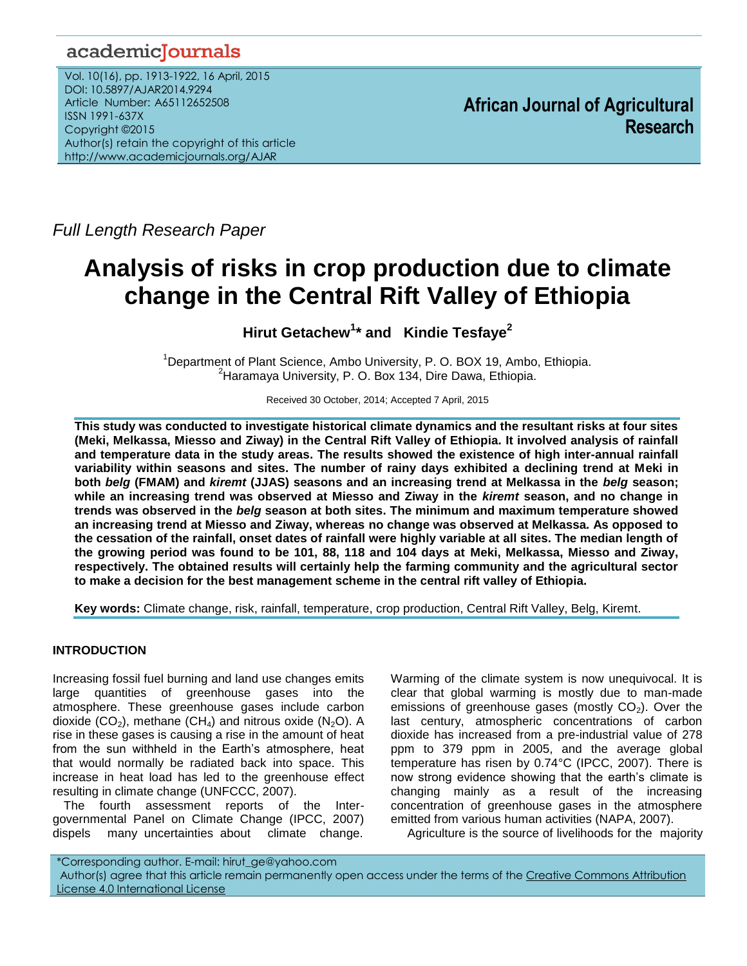# academicJournals

Vol. 10(16), pp. 1913-1922, 16 April, 2015 DOI: 10.5897/AJAR2014.9294 Article Number: A65112652508 ISSN 1991-637X Copyright ©2015 Author(s) retain the copyright of this article http://www.academicjournals.org/AJAR

**African Journal of Agricultural Research**

*Full Length Research Paper*

# **Analysis of risks in crop production due to climate change in the Central Rift Valley of Ethiopia**

**Hirut Getachew<sup>1</sup> \* and Kindie Tesfaye<sup>2</sup>**

<sup>1</sup>Department of Plant Science, Ambo University, P. O. BOX 19, Ambo, Ethiopia. <sup>2</sup>Haramaya University, P. O. Box 134, Dire Dawa, Ethiopia.

Received 30 October, 2014; Accepted 7 April, 2015

**This study was conducted to investigate historical climate dynamics and the resultant risks at four sites (Meki, Melkassa, Miesso and Ziway) in the Central Rift Valley of Ethiopia. It involved analysis of rainfall and temperature data in the study areas. The results showed the existence of high inter-annual rainfall variability within seasons and sites. The number of rainy days exhibited a declining trend at Meki in both** *belg* **(FMAM) and** *kiremt* **(JJAS) seasons and an increasing trend at Melkassa in the** *belg* **season; while an increasing trend was observed at Miesso and Ziway in the** *kiremt* **season, and no change in trends was observed in the** *belg* **season at both sites. The minimum and maximum temperature showed an increasing trend at Miesso and Ziway, whereas no change was observed at Melkassa. As opposed to the cessation of the rainfall, onset dates of rainfall were highly variable at all sites. The median length of the growing period was found to be 101, 88, 118 and 104 days at Meki, Melkassa, Miesso and Ziway, respectively. The obtained results will certainly help the farming community and the agricultural sector to make a decision for the best management scheme in the central rift valley of Ethiopia.** 

**Key words:** Climate change, risk, rainfall, temperature, crop production, Central Rift Valley, Belg, Kiremt.

# **INTRODUCTION**

Increasing fossil fuel burning and land use changes emits large quantities of greenhouse gases into the atmosphere. These greenhouse gases include carbon dioxide (CO<sub>2</sub>), methane (CH<sub>4</sub>) and nitrous oxide (N<sub>2</sub>O). A rise in these gases is causing a rise in the amount of heat from the sun withheld in the Earth's atmosphere, heat that would normally be radiated back into space. This increase in heat load has led to the greenhouse effect resulting in climate change (UNFCCC, 2007).

The fourth assessment reports of the Intergovernmental Panel on Climate Change (IPCC, 2007) dispels many uncertainties about climate change.

Warming of the climate system is now unequivocal. It is clear that global warming is mostly due to man-made emissions of greenhouse gases (mostly  $CO<sub>2</sub>$ ). Over the last century, atmospheric concentrations of carbon dioxide has increased from a pre-industrial value of 278 ppm to 379 ppm in 2005, and the average global temperature has risen by 0.74°C (IPCC, 2007). There is now strong evidence showing that the earth's climate is changing mainly as a result of the increasing concentration of greenhouse gases in the atmosphere emitted from various human activities (NAPA, 2007).

Agriculture is the source of livelihoods for the majority

\*Corresponding author. E-mail: hirut\_ge@yahoo.com Author(s) agree that this article remain permanently open access under the terms of the Creative Commons Attribution [License 4.0 International License](http://creativecommons.org/licenses/by/4.0/deed.en_US)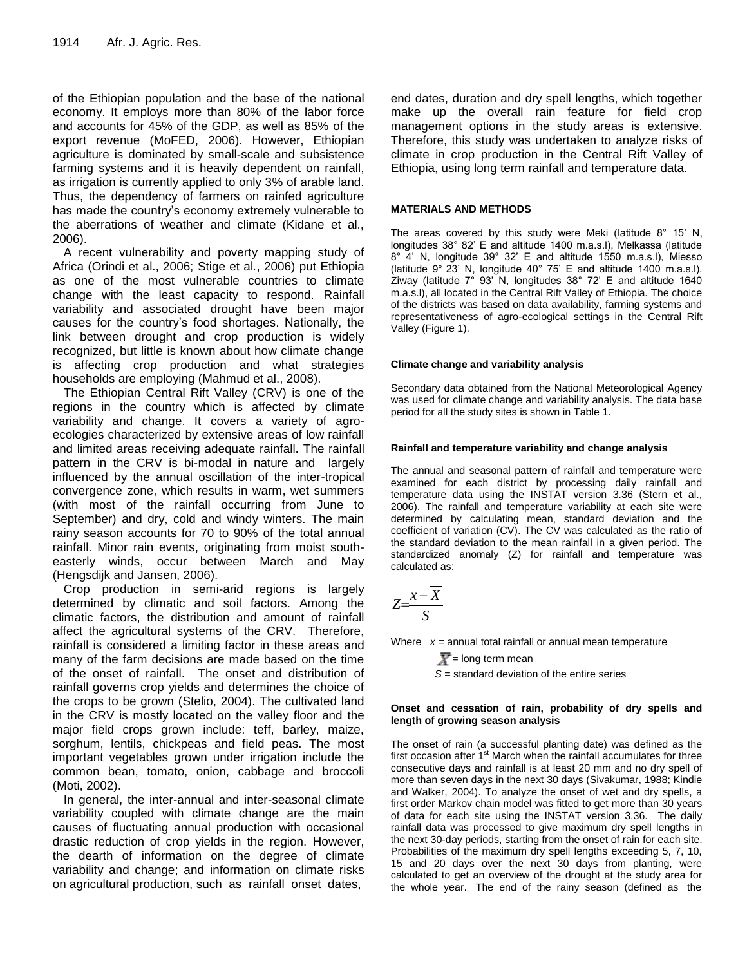of the Ethiopian population and the base of the national economy. It employs more than 80% of the labor force and accounts for 45% of the GDP, as well as 85% of the export revenue (MoFED, 2006). However, Ethiopian agriculture is dominated by small-scale and subsistence farming systems and it is heavily dependent on rainfall, as irrigation is currently applied to only 3% of arable land. Thus, the dependency of farmers on rainfed agriculture has made the country's economy extremely vulnerable to the aberrations of weather and climate (Kidane et al., 2006).

A recent vulnerability and poverty mapping study of Africa (Orindi et al., 2006; Stige et al*.*, 2006) put Ethiopia as one of the most vulnerable countries to climate change with the least capacity to respond. Rainfall variability and associated drought have been major causes for the country's food shortages. Nationally, the link between drought and crop production is widely recognized, but little is known about how climate change is affecting crop production and what strategies households are employing (Mahmud et al., 2008).

The Ethiopian Central Rift Valley (CRV) is one of the regions in the country which is affected by climate variability and change. It covers a variety of agroecologies characterized by extensive areas of low rainfall and limited areas receiving adequate rainfall. The rainfall pattern in the CRV is bi-modal in nature and largely influenced by the annual oscillation of the inter-tropical convergence zone, which results in warm, wet summers (with most of the rainfall occurring from June to September) and dry, cold and windy winters. The main rainy season accounts for 70 to 90% of the total annual rainfall. Minor rain events, originating from moist southeasterly winds, occur between March and May (Hengsdijk and Jansen, 2006).

Crop production in semi-arid regions is largely determined by climatic and soil factors. Among the climatic factors, the distribution and amount of rainfall affect the agricultural systems of the CRV. Therefore, rainfall is considered a limiting factor in these areas and many of the farm decisions are made based on the time of the onset of rainfall. The onset and distribution of rainfall governs crop yields and determines the choice of the crops to be grown (Stelio, 2004). The cultivated land in the CRV is mostly located on the valley floor and the major field crops grown include: teff, barley, maize, sorghum, lentils, chickpeas and field peas. The most important vegetables grown under irrigation include the common bean, tomato, onion, cabbage and broccoli (Moti, 2002).

In general, the inter-annual and inter-seasonal climate variability coupled with climate change are the main causes of fluctuating annual production with occasional drastic reduction of crop yields in the region. However, the dearth of information on the degree of climate variability and change; and information on climate risks on agricultural production, such as rainfall onset dates,

end dates, duration and dry spell lengths, which together make up the overall rain feature for field crop management options in the study areas is extensive. Therefore, this study was undertaken to analyze risks of climate in crop production in the Central Rift Valley of Ethiopia, using long term rainfall and temperature data.

#### **MATERIALS AND METHODS**

The areas covered by this study were Meki (latitude 8° 15' N, longitudes 38° 82' E and altitude 1400 m.a.s.l), Melkassa (latitude 8° 4' N, longitude 39° 32' E and altitude 1550 m.a.s.l), Miesso (latitude 9° 23' N, longitude 40° 75' E and altitude 1400 m.a.s.l). Ziway (latitude  $7^\circ$  93' N, longitudes 38° 72' E and altitude 1640 m.a.s.l), all located in the Central Rift Valley of Ethiopia. The choice of the districts was based on data availability, farming systems and representativeness of agro-ecological settings in the Central Rift Valley (Figure 1).

#### **Climate change and variability analysis**

Secondary data obtained from the National Meteorological Agency was used for climate change and variability analysis. The data base period for all the study sites is shown in Table 1.

## **Rainfall and temperature variability and change analysis**

The annual and seasonal pattern of rainfall and temperature were examined for each district by processing daily rainfall and temperature data using the INSTAT version 3.36 (Stern et al., 2006). The rainfall and temperature variability at each site were determined by calculating mean, standard deviation and the coefficient of variation (CV). The CV was calculated as the ratio of the standard deviation to the mean rainfall in a given period. The standardized anomaly (Z) for rainfall and temperature was calculated as:

$$
Z = \frac{x - \overline{X}}{S}
$$

Where *x* = annual total rainfall or annual mean temperature

 $\overline{X}$  = long term mean *S* = standard deviation of the entire series

#### **Onset and cessation of rain, probability of dry spells and length of growing season analysis**

The onset of rain (a successful planting date) was defined as the first occasion after  $1<sup>st</sup>$  March when the rainfall accumulates for three consecutive days and rainfall is at least 20 mm and no dry spell of more than seven days in the next 30 days (Sivakumar, 1988; Kindie and Walker, 2004). To analyze the onset of wet and dry spells, a first order Markov chain model was fitted to get more than 30 years of data for each site using the INSTAT version 3.36. The daily rainfall data was processed to give maximum dry spell lengths in the next 30-day periods, starting from the onset of rain for each site. Probabilities of the maximum dry spell lengths exceeding 5, 7, 10, 15 and 20 days over the next 30 days from planting, were calculated to get an overview of the drought at the study area for the whole year. The end of the rainy season (defined as the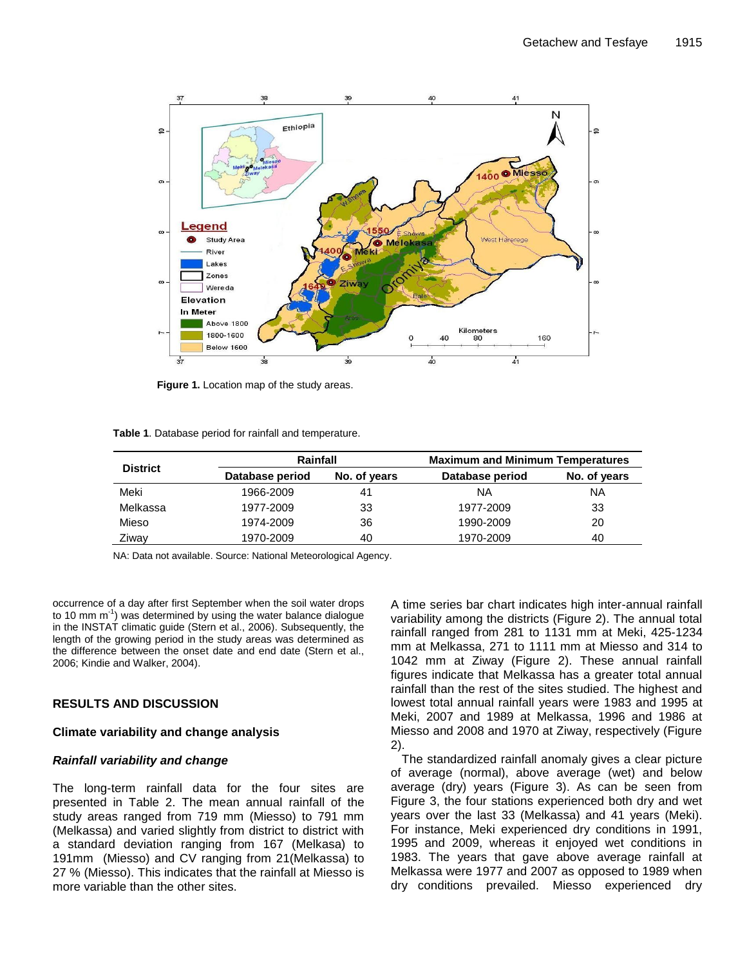

**Figure 1.** Location map of the study areas.

| <b>District</b> | Rainfall        |              | <b>Maximum and Minimum Temperatures</b> |              |  |
|-----------------|-----------------|--------------|-----------------------------------------|--------------|--|
|                 | Database period | No. of years | Database period                         | No. of years |  |
| Meki            | 1966-2009       | 41           | ΝA                                      | ΝA           |  |
| Melkassa        | 1977-2009       | 33           | 1977-2009                               | 33           |  |
| Mieso           | 1974-2009       | 36           | 1990-2009                               | 20           |  |
| Ziway           | 1970-2009       | 40           | 1970-2009                               | 40           |  |

NA: Data not available. Source: National Meteorological Agency.

occurrence of a day after first September when the soil water drops to 10 mm m<sup>-1</sup>) was determined by using the water balance dialogue in the INSTAT climatic guide (Stern et al., 2006). Subsequently, the length of the growing period in the study areas was determined as the difference between the onset date and end date (Stern et al., 2006; Kindie and Walker, 2004).

# **RESULTS AND DISCUSSION**

# **Climate variability and change analysis**

# *Rainfall variability and change*

The long-term rainfall data for the four sites are presented in Table 2. The mean annual rainfall of the study areas ranged from 719 mm (Miesso) to 791 mm (Melkassa) and varied slightly from district to district with a standard deviation ranging from 167 (Melkasa) to 191mm (Miesso) and CV ranging from 21(Melkassa) to 27 % (Miesso). This indicates that the rainfall at Miesso is more variable than the other sites.

A time series bar chart indicates high inter-annual rainfall variability among the districts (Figure 2). The annual total rainfall ranged from 281 to 1131 mm at Meki, 425-1234 mm at Melkassa, 271 to 1111 mm at Miesso and 314 to 1042 mm at Ziway (Figure 2). These annual rainfall figures indicate that Melkassa has a greater total annual rainfall than the rest of the sites studied. The highest and lowest total annual rainfall years were 1983 and 1995 at Meki, 2007 and 1989 at Melkassa, 1996 and 1986 at Miesso and 2008 and 1970 at Ziway, respectively (Figure 2).

The standardized rainfall anomaly gives a clear picture of average (normal), above average (wet) and below average (dry) years (Figure 3). As can be seen from Figure 3, the four stations experienced both dry and wet years over the last 33 (Melkassa) and 41 years (Meki). For instance, Meki experienced dry conditions in 1991, 1995 and 2009, whereas it enjoyed wet conditions in 1983. The years that gave above average rainfall at Melkassa were 1977 and 2007 as opposed to 1989 when dry conditions prevailed. Miesso experienced dry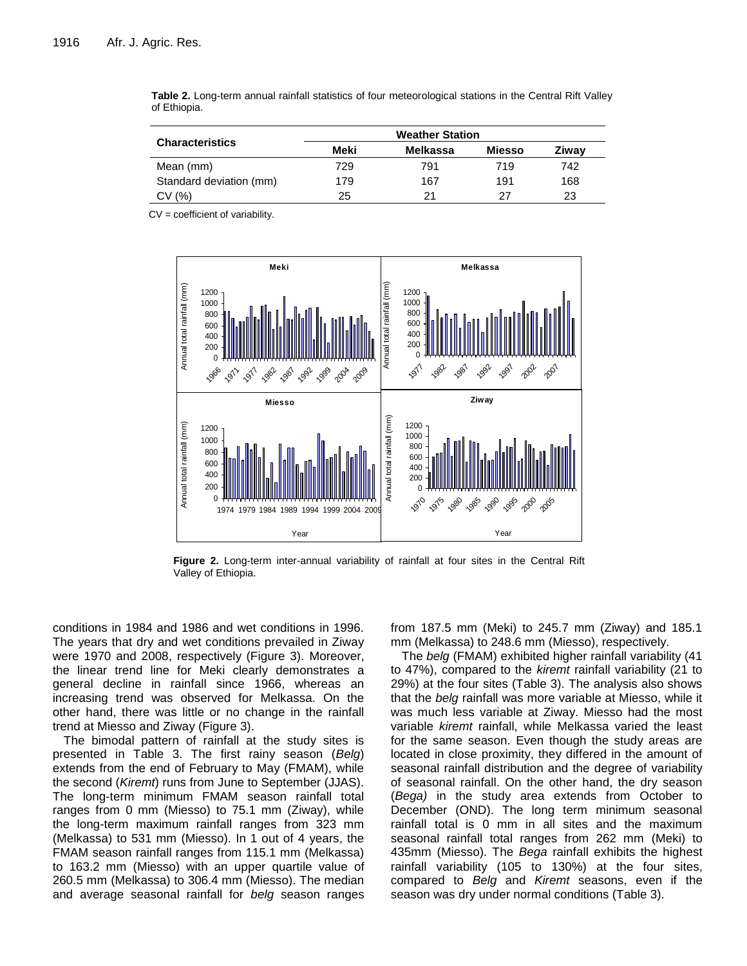|                         | <b>Weather Station</b> |          |               |       |  |  |  |
|-------------------------|------------------------|----------|---------------|-------|--|--|--|
| <b>Characteristics</b>  | Meki                   | Melkassa | <b>Miesso</b> | Ziwav |  |  |  |
| Mean (mm)               | 729                    | 791      | 719           | 742   |  |  |  |
| Standard deviation (mm) | 179                    | 167      | 191           | 168   |  |  |  |
| CV(%)                   | 25                     | 21       | 27            | 23    |  |  |  |

**Table 2.** Long-term annual rainfall statistics of four meteorological stations in the Central Rift Valley of Ethiopia.

CV = coefficient of variability.



**Figure 1**. Long-term inter-annual variability of rainfall at  $\mathbf{F}$  at  $\mathbf{F}$   $\mathbf{F}$   $\mathbf{F}$   $\mathbf{F}$   $\mathbf{F}$   $\mathbf{F}$   $\mathbf{F}$   $\mathbf{F}$   $\mathbf{F}$   $\mathbf{F}$   $\mathbf{F}$   $\mathbf{F}$   $\mathbf{F}$   $\mathbf{F}$   $\mathbf{F}$   $\mathbf{F}$   $\mathbf$ **Figure 2.** Long-term inter-annual variability of rainfall at four sites in the Central Rift Valley of Ethiopia.

conditions in 1984 and 1986 and wet conditions in 1996. The years that dry and wet conditions prevailed in Ziway were 1970 and 2008, respectively (Figure 3). Moreover, the linear trend line for Meki clearly demonstrates a general decline in rainfall since 1966, whereas an increasing trend was observed for Melkassa. On the other hand, there was little or no change in the rainfall trend at Miesso and Ziway (Figure 3).

The bimodal pattern of rainfall at the study sites is presented in Table 3. The first rainy season (*Belg*) extends from the end of February to May (FMAM), while the second (*Kiremt*) runs from June to September (JJAS). The long-term minimum FMAM season rainfall total ranges from 0 mm (Miesso) to 75.1 mm (Ziway), while the long-term maximum rainfall ranges from 323 mm (Melkassa) to 531 mm (Miesso). In 1 out of 4 years, the FMAM season rainfall ranges from 115.1 mm (Melkassa) to 163.2 mm (Miesso) with an upper quartile value of 260.5 mm (Melkassa) to 306.4 mm (Miesso). The median and average seasonal rainfall for *belg* season ranges from 187.5 mm (Meki) to 245.7 mm (Ziway) and 185.1 mm (Melkassa) to 248.6 mm (Miesso), respectively.

The *belg* (FMAM) exhibited higher rainfall variability (41 to 47%), compared to the *kiremt* rainfall variability (21 to 29%) at the four sites (Table 3). The analysis also shows that the *belg* rainfall was more variable at Miesso, while it was much less variable at Ziway. Miesso had the most variable *kiremt* rainfall, while Melkassa varied the least for the same season. Even though the study areas are located in close proximity, they differed in the amount of seasonal rainfall distribution and the degree of variability of seasonal rainfall. On the other hand, the dry season (*Bega)* in the study area extends from October to December (OND). The long term minimum seasonal rainfall total is 0 mm in all sites and the maximum seasonal rainfall total ranges from 262 mm (Meki) to 435mm (Miesso). The *Bega* rainfall exhibits the highest rainfall variability (105 to 130%) at the four sites, compared to *Belg* and *Kiremt* seasons, even if the season was dry under normal conditions (Table 3).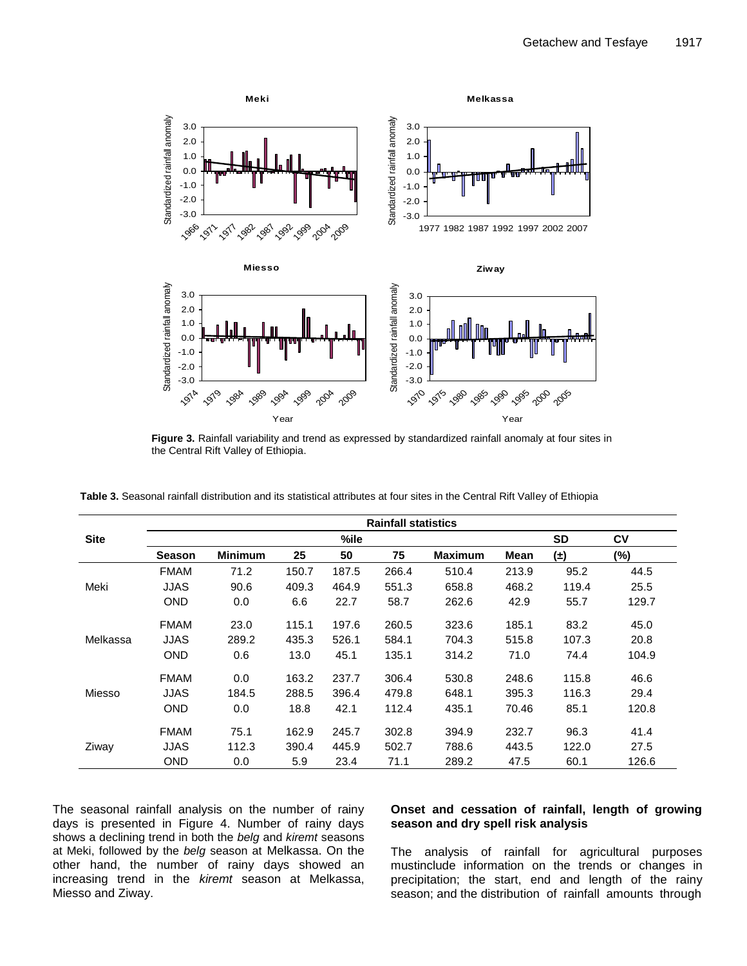

**Figure 1.** Rainfall variability and trend as expressed by standardized rainfall anomaly at four **Figure 3.** Rainfall variability and trend as expressed by standardized rainfall anomaly at four sites in the Central Rift Valley of Ethiopia.

|             | <b>Rainfall statistics</b> |                |       |       |       |                |             |           |       |
|-------------|----------------------------|----------------|-------|-------|-------|----------------|-------------|-----------|-------|
| <b>Site</b> |                            |                |       | %ile  |       |                |             | <b>SD</b> | CV    |
|             | <b>Season</b>              | <b>Minimum</b> | 25    | 50    | 75    | <b>Maximum</b> | <b>Mean</b> | $(\pm)$   | (%)   |
|             | <b>FMAM</b>                | 71.2           | 150.7 | 187.5 | 266.4 | 510.4          | 213.9       | 95.2      | 44.5  |
| Meki        | JJAS                       | 90.6           | 409.3 | 464.9 | 551.3 | 658.8          | 468.2       | 119.4     | 25.5  |
|             | <b>OND</b>                 | 0.0            | 6.6   | 22.7  | 58.7  | 262.6          | 42.9        | 55.7      | 129.7 |
|             | <b>FMAM</b>                | 23.0           | 115.1 | 197.6 | 260.5 | 323.6          | 185.1       | 83.2      | 45.0  |
| Melkassa    | JJAS                       | 289.2          | 435.3 | 526.1 | 584.1 | 704.3          | 515.8       | 107.3     | 20.8  |
|             | <b>OND</b>                 | 0.6            | 13.0  | 45.1  | 135.1 | 314.2          | 71.0        | 74.4      | 104.9 |
|             | <b>FMAM</b>                | 0.0            | 163.2 | 237.7 | 306.4 | 530.8          | 248.6       | 115.8     | 46.6  |
| Miesso      | JJAS                       | 184.5          | 288.5 | 396.4 | 479.8 | 648.1          | 395.3       | 116.3     | 29.4  |
|             | <b>OND</b>                 | 0.0            | 18.8  | 42.1  | 112.4 | 435.1          | 70.46       | 85.1      | 120.8 |
|             | <b>FMAM</b>                | 75.1           | 162.9 | 245.7 | 302.8 | 394.9          | 232.7       | 96.3      | 41.4  |
| Ziway       | JJAS                       | 112.3          | 390.4 | 445.9 | 502.7 | 788.6          | 443.5       | 122.0     | 27.5  |
|             | <b>OND</b>                 | 0.0            | 5.9   | 23.4  | 71.1  | 289.2          | 47.5        | 60.1      | 126.6 |

**Table 3.** Seasonal rainfall distribution and its statistical attributes at four sites in the Central Rift Valley of Ethiopia

The seasonal rainfall analysis on the number of rainy days is presented in Figure 4. Number of rainy days shows a declining trend in both the *belg* and *kiremt* seasons at Meki, followed by the *belg* season at Melkassa. On the other hand, the number of rainy days showed an increasing trend in the *kiremt* season at Melkassa, Miesso and Ziway.

## **Onset and cessation of rainfall, length of growing season and dry spell risk analysis**

The analysis of rainfall for agricultural purposes mustinclude information on the trends or changes in precipitation; the start, end and length of the rainy season; and the distribution of rainfall amounts through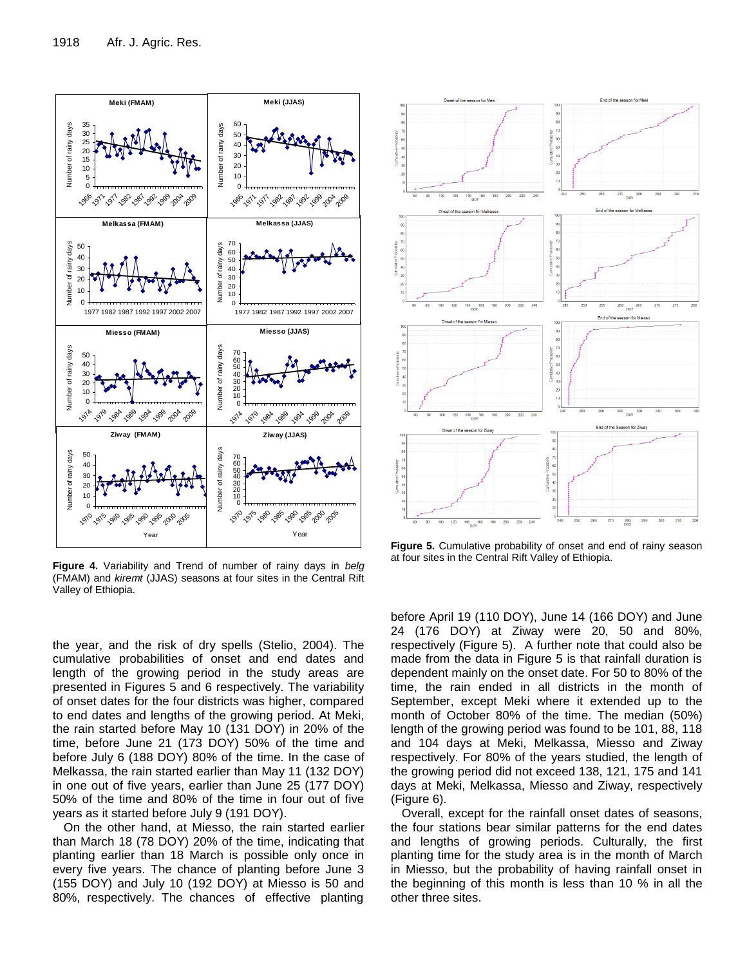

**Figure 1.** Variability and Trend of number of rainy days in *belg* (FMAM) and *kiremt* (JJAS) (FMAM) and *kiremt* (JJAS) seasons at four sites in the Central Rift<br>Valley of Ethiopia. **Figure 4.** Variability and Trend of number of rainy days in *belg* Valley of Ethiopia.

the year, and the risk of dry spells (Stelio, 2004). The cumulative probabilities of onset and end dates and length of the growing period in the study areas are presented in Figures 5 and 6 respectively. The variability of onset dates for the four districts was higher, compared to end dates and lengths of the growing period. At Meki, the rain started before May 10 (131 DOY) in 20% of the time, before June 21 (173 DOY) 50% of the time and before July 6 (188 DOY) 80% of the time. In the case of Melkassa, the rain started earlier than May 11 (132 DOY) in one out of five years, earlier than June 25 (177 DOY) 50% of the time and 80% of the time in four out of five years as it started before July 9 (191 DOY).

On the other hand, at Miesso, the rain started earlier than March 18 (78 DOY) 20% of the time, indicating that planting earlier than 18 March is possible only once in every five years. The chance of planting before June 3 (155 DOY) and July 10 (192 DOY) at Miesso is 50 and 80%, respectively. The chances of effective planting



**Figure 5.** Cumulative probability of onset and end of rainy season at four sites in the Central Rift Valley of Ethiopia.

before April 19 (110 DOY), June 14 (166 DOY) and June 24 (176 DOY) at Ziway were 20, 50 and 80%, respectively (Figure 5). A further note that could also be made from the data in Figure 5 is that rainfall duration is dependent mainly on the onset date. For 50 to 80% of the time, the rain ended in all districts in the month of September, except Meki where it extended up to the month of October 80% of the time. The median (50%) length of the growing period was found to be 101, 88, 118 and 104 days at Meki, Melkassa, Miesso and Ziway respectively. For 80% of the years studied, the length of the growing period did not exceed 138, 121, 175 and 141 days at Meki, Melkassa, Miesso and Ziway, respectively (Figure 6).

Overall, except for the rainfall onset dates of seasons, the four stations bear similar patterns for the end dates and lengths of growing periods. Culturally, the first planting time for the study area is in the month of March in Miesso, but the probability of having rainfall onset in the beginning of this month is less than 10 % in all the other three sites.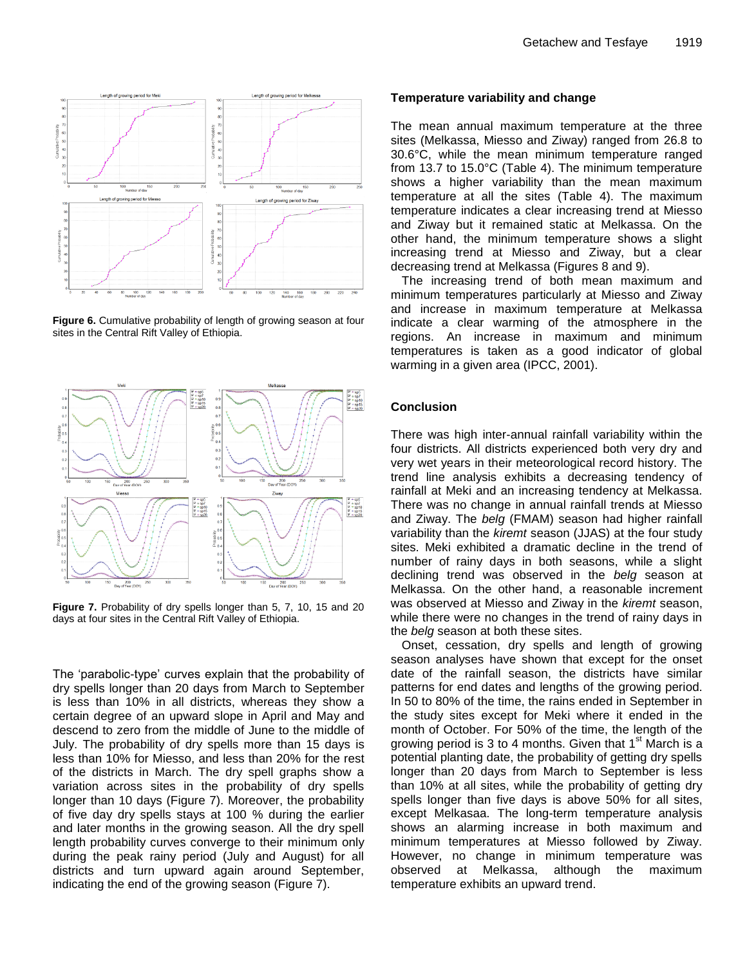

**Figure 6.** Cumulative probability of length of growing season at four inc **Ethiopia.** Sites in the Central Rift Valley of Ethiopia.



**Figure 7.** Probability of dry spells longer than 5, 7, 10, 15 and 20 W Rift Valley of Ethiopia. days at four sites in the Central Rift Valley of Ethiopia.

The 'parabolic-type' curves explain that the probability of dry spells longer than 20 days from March to September is less than 10% in all districts, whereas they show a certain degree of an upward slope in April and May and descend to zero from the middle of June to the middle of July. The probability of dry spells more than 15 days is less than 10% for Miesso, and less than 20% for the rest of the districts in March. The dry spell graphs show a variation across sites in the probability of dry spells longer than 10 days (Figure 7). Moreover, the probability of five day dry spells stays at 100 % during the earlier and later months in the growing season. All the dry spell length probability curves converge to their minimum only during the peak rainy period (July and August) for all districts and turn upward again around September, indicating the end of the growing season (Figure 7).

#### **Temperature variability and change**

The mean annual maximum temperature at the three sites (Melkassa, Miesso and Ziway) ranged from 26.8 to 30.6°C, while the mean minimum temperature ranged from 13.7 to 15.0°C (Table 4). The minimum temperature shows a higher variability than the mean maximum temperature at all the sites (Table 4). The maximum temperature indicates a clear increasing trend at Miesso and Ziway but it remained static at Melkassa. On the other hand, the minimum temperature shows a slight increasing trend at Miesso and Ziway, but a clear decreasing trend at Melkassa (Figures 8 and 9).

The increasing trend of both mean maximum and minimum temperatures particularly at Miesso and Ziway and increase in maximum temperature at Melkassa indicate a clear warming of the atmosphere in the regions. An increase in maximum and minimum temperatures is taken as a good indicator of global warming in a given area (IPCC, 2001).

#### **Conclusion**

There was high inter-annual rainfall variability within the four districts. All districts experienced both very dry and very wet years in their meteorological record history. The trend line analysis exhibits a decreasing tendency of rainfall at Meki and an increasing tendency at Melkassa. There was no change in annual rainfall trends at Miesso and Ziway. The *belg* (FMAM) season had higher rainfall variability than the *kiremt* season (JJAS) at the four study sites. Meki exhibited a dramatic decline in the trend of number of rainy days in both seasons, while a slight declining trend was observed in the *belg* season at Melkassa. On the other hand, a reasonable increment was observed at Miesso and Ziway in the *kiremt* season, while there were no changes in the trend of rainy days in the *belg* season at both these sites.

Onset, cessation, dry spells and length of growing season analyses have shown that except for the onset date of the rainfall season, the districts have similar patterns for end dates and lengths of the growing period. In 50 to 80% of the time, the rains ended in September in the study sites except for Meki where it ended in the month of October. For 50% of the time, the length of the growing period is 3 to 4 months. Given that  $1<sup>st</sup>$  March is a potential planting date, the probability of getting dry spells longer than 20 days from March to September is less than 10% at all sites, while the probability of getting dry spells longer than five days is above 50% for all sites, except Melkasaa. The long-term temperature analysis shows an alarming increase in both maximum and minimum temperatures at Miesso followed by Ziway. However, no change in minimum temperature was observed at Melkassa, although the maximum temperature exhibits an upward trend.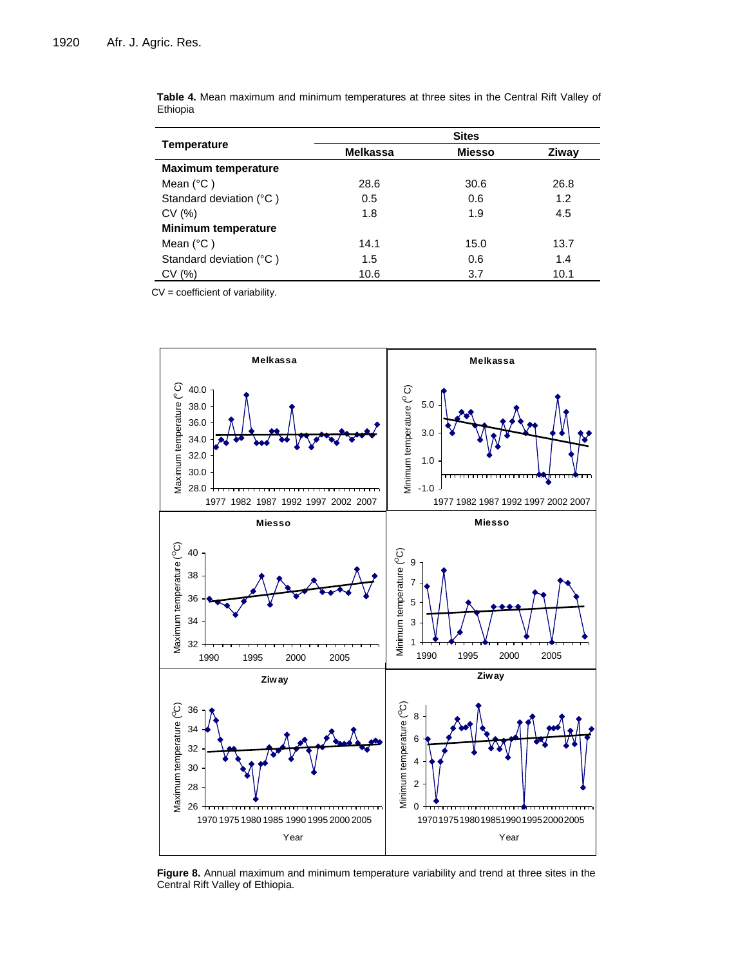|                            | <b>Sites</b>    |               |       |  |  |  |
|----------------------------|-----------------|---------------|-------|--|--|--|
| <b>Temperature</b>         | <b>Melkassa</b> | <b>Miesso</b> | Ziway |  |  |  |
| <b>Maximum temperature</b> |                 |               |       |  |  |  |
| Mean $(^{\circ}C)$         | 28.6            | 30.6          | 26.8  |  |  |  |
| Standard deviation (°C)    | 0.5             | 0.6           | 1.2   |  |  |  |
| CV(%)                      | 1.8             | 1.9           | 4.5   |  |  |  |
| <b>Minimum temperature</b> |                 |               |       |  |  |  |
| Mean $(^{\circ}C)$         | 14.1            | 15.0          | 13.7  |  |  |  |
| Standard deviation (°C)    | 1.5             | 0.6           | 1.4   |  |  |  |
| CV(%)                      | 10.6            | 3.7           | 10.1  |  |  |  |

**Table 4.** Mean maximum and minimum temperatures at three sites in the Central Rift Valley of Ethiopia

CV = coefficient of variability.  $\mathsf{CV} = \mathsf{coefficient}$  or variability.



**Figure 8.** Annual maximum and minimum temperature variability and trend at three sites in the Central Rift Valley of Ethiopia.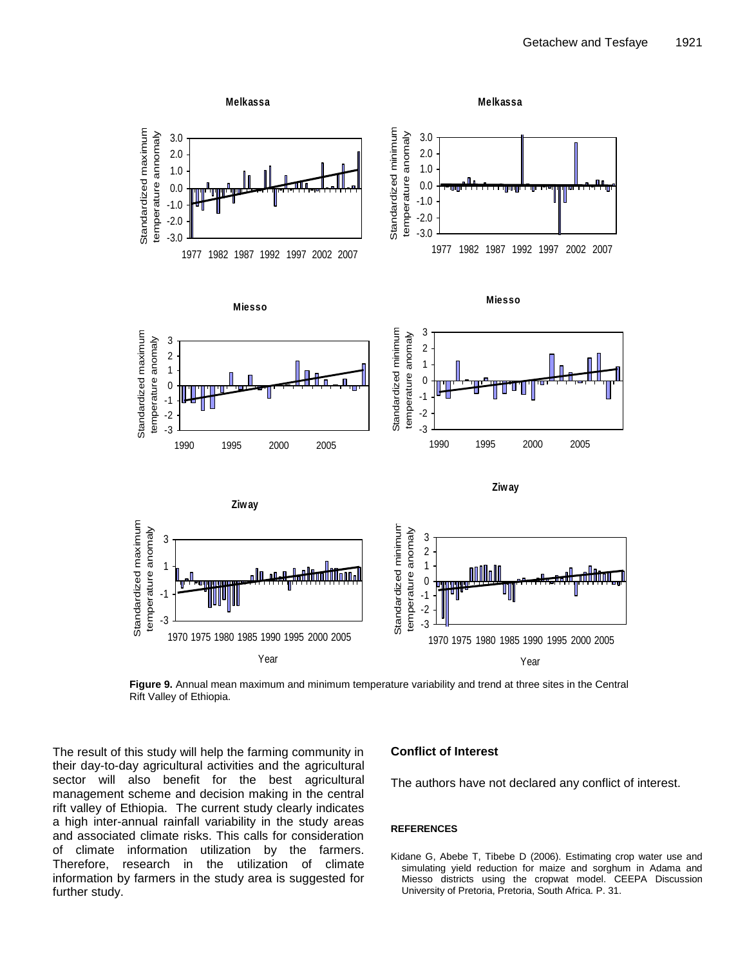

**Figure 9.** Annual mean maximum and minimum temperature variability and trend at three sites in the Central Rift Valley of Ethiopia.

The result of this study will help the farming community in their day-to-day agricultural activities and the agricultural sector will also benefit for the best agricultural management scheme and decision making in the central rift valley of Ethiopia. The current study clearly indicates a high inter-annual rainfall variability in the study areas and associated climate risks. This calls for consideration of climate information utilization by the farmers. Therefore, research in the utilization of climate information by farmers in the study area is suggested for further study.

## **Conflict of Interest**

The authors have not declared any conflict of interest.

#### **REFERENCES**

Kidane G, Abebe T, Tibebe D (2006). Estimating crop water use and simulating yield reduction for maize and sorghum in Adama and Miesso districts using the cropwat model. CEEPA Discussion University of Pretoria, Pretoria, South Africa. P. 31.